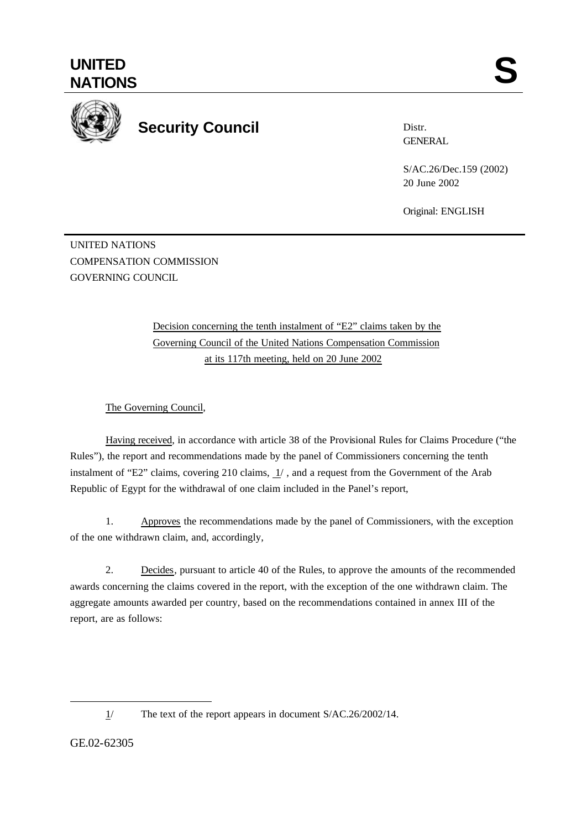

## **Security Council**

Distr. **GENERAL** 

S/AC.26/Dec.159 (2002) 20 June 2002

Original: ENGLISH

UNITED NATIONS COMPENSATION COMMISSION GOVERNING COUNCIL

> Decision concerning the tenth instalment of "E2" claims taken by the Governing Council of the United Nations Compensation Commission at its 117th meeting, held on 20 June 2002

The Governing Council,

Having received, in accordance with article 38 of the Provisional Rules for Claims Procedure ("the Rules"), the report and recommendations made by the panel of Commissioners concerning the tenth instalment of "E2" claims, covering 210 claims,  $1/$ , and a request from the Government of the Arab Republic of Egypt for the withdrawal of one claim included in the Panel's report,

1. Approves the recommendations made by the panel of Commissioners, with the exception of the one withdrawn claim, and, accordingly,

2. Decides, pursuant to article 40 of the Rules, to approve the amounts of the recommended awards concerning the claims covered in the report, with the exception of the one withdrawn claim. The aggregate amounts awarded per country, based on the recommendations contained in annex III of the report, are as follows:

GE.02-62305

l

<sup>1/</sup> The text of the report appears in document S/AC.26/2002/14.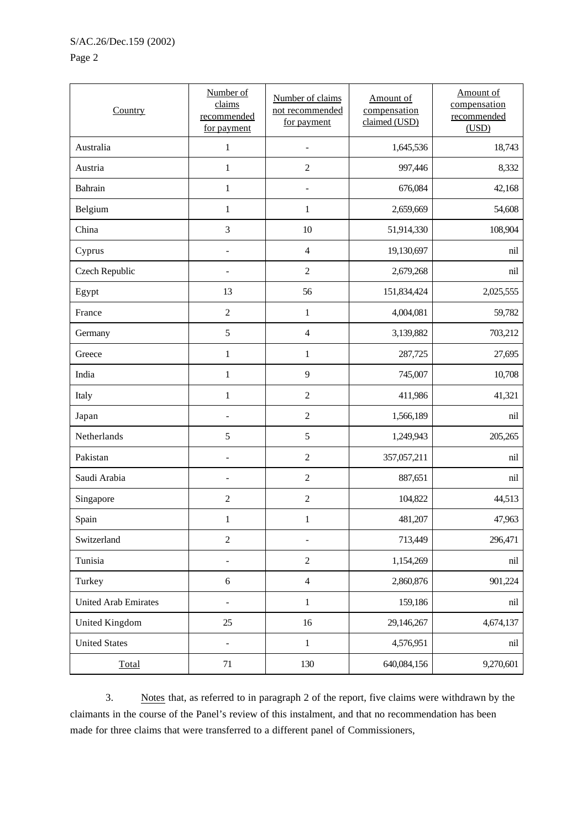## Page 2

| Country                     | Number of<br>claims<br>recommended<br>for payment | Number of claims<br>not recommended<br>for payment | Amount of<br>compensation<br>claimed (USD) | Amount of<br>compensation<br>recommended<br>(USD) |
|-----------------------------|---------------------------------------------------|----------------------------------------------------|--------------------------------------------|---------------------------------------------------|
| Australia                   | $\mathbf{1}$                                      | $\overline{a}$                                     | 1,645,536                                  | 18,743                                            |
| Austria                     | $\mathbf{1}$                                      | $\overline{2}$                                     | 997,446                                    | 8,332                                             |
| Bahrain                     | $\,1$                                             | $\overline{a}$                                     | 676,084                                    | 42,168                                            |
| Belgium                     | $\mathbf{1}$                                      | $\mathbf{1}$                                       | 2,659,669                                  | 54,608                                            |
| China                       | $\mathfrak{Z}$                                    | $10\,$                                             | 51,914,330                                 | 108,904                                           |
| Cyprus                      | $\overline{a}$                                    | $\overline{4}$                                     | 19,130,697                                 | nil                                               |
| Czech Republic              | $\overline{\phantom{0}}$                          | $\sqrt{2}$                                         | 2,679,268                                  | nil                                               |
| Egypt                       | 13                                                | 56                                                 | 151,834,424                                | 2,025,555                                         |
| France                      | $\mathbf{2}$                                      | $\mathbf{1}$                                       | 4,004,081                                  | 59,782                                            |
| Germany                     | 5                                                 | $\overline{4}$                                     | 3,139,882                                  | 703,212                                           |
| Greece                      | $\,1$                                             | $\mathbf{1}$                                       | 287,725                                    | 27,695                                            |
| India                       | $\,1$                                             | 9                                                  | 745,007                                    | 10,708                                            |
| Italy                       | $\,1$                                             | $\overline{c}$                                     | 411,986                                    | 41,321                                            |
| Japan                       | $\overline{a}$                                    | $\sqrt{2}$                                         | 1,566,189                                  | nil                                               |
| Netherlands                 | 5                                                 | $\sqrt{5}$                                         | 1,249,943                                  | 205,265                                           |
| Pakistan                    |                                                   | $\sqrt{2}$                                         | 357,057,211                                | nil                                               |
| Saudi Arabia                | $\overline{a}$                                    | $\sqrt{2}$                                         | 887,651                                    | nil                                               |
| Singapore                   | $\overline{c}$                                    | $\overline{2}$                                     | 104,822                                    | 44,513                                            |
| Spain                       | $\mathbf{1}$                                      | 1                                                  | 481,207                                    | 47,963                                            |
| Switzerland                 | $\mathbf{2}$                                      | $\overline{a}$                                     | 713,449                                    | 296,471                                           |
| Tunisia                     |                                                   | $\sqrt{2}$                                         | 1,154,269                                  | nil                                               |
| Turkey                      | 6                                                 | $\sqrt{4}$                                         | 2,860,876                                  | 901,224                                           |
| <b>United Arab Emirates</b> |                                                   | $\mathbf{1}$                                       | 159,186                                    | nil                                               |
| United Kingdom              | 25                                                | 16                                                 | 29,146,267                                 | 4,674,137                                         |
| <b>United States</b>        | $\overline{a}$                                    | $\mathbf{1}$                                       | 4,576,951                                  | nil                                               |
| Total                       | 71                                                | 130                                                | 640,084,156                                | 9,270,601                                         |

3. Notes that, as referred to in paragraph 2 of the report, five claims were withdrawn by the claimants in the course of the Panel's review of this instalment, and that no recommendation has been made for three claims that were transferred to a different panel of Commissioners,